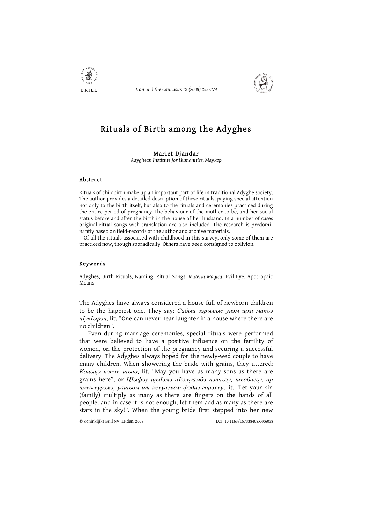

Iran and the Caucasus 12 (2008) 253-274



# Rituals of Birth among the Adyghes

## Mariet Djandar

Advahean Institute for Humanities, Maykop

## Abstract

Rituals of childbirth make up an important part of life in traditional Adyghe society. The author provides a detailed description of these rituals, paying special attention not only to the birth itself, but also to the rituals and ceremonies practiced during the entire period of pregnancy, the behaviour of the mother-to-be, and her social status before and after the birth in the house of her husband. In a number of cases original ritual songs with translation are also included. The research is predominantly based on field-records of the author and archive materials.

Of all the rituals associated with childhood in this survey, only some of them are practiced now, though sporadically. Others have been consigned to oblivion.

#### Keywords

Adyghes, Birth Rituals, Naming, Ritual Songs, Materia Magica, Evil Eye, Apotropaic Means

The Adyghes have always considered a house full of newborn children to be the happiest one. They say: Сабый зэрымыс унэм щхи макъэ ulyklupan, lit. "One can never hear laughter in a house where there are no children".

Even during marriage ceremonies, special rituals were performed that were believed to have a positive influence on the fertility of women, on the protection of the pregnancy and securing a successful delivery. The Adyghes always hoped for the newly-wed couple to have many children. When showering the bride with grains, they uttered: Коцьщэ пэпчь шьао, lit. "May you have as many sons as there are grains here", ог ЦIыфэу щыIэмэ аIэхъуамбэ пэпчъэу, шьобагьу, ар имыкъурэмэ, уашъом ит жъуагъом фэдиз горэхъу, lit. "Let your kin (family) multiply as many as there are fingers on the hands of all people, and in case it is not enough, let them add as many as there are stars in the sky!". When the young bride first stepped into her new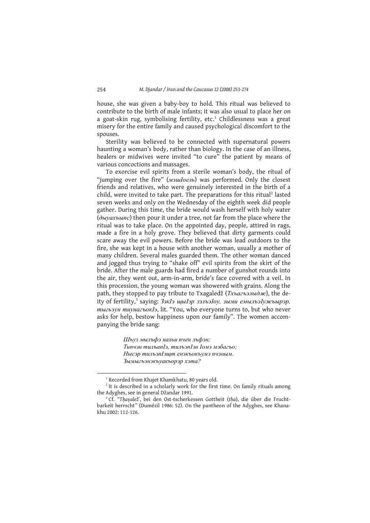house, she was given a baby-boy to hold. This ritual was believed to contribute to the birth of male infants; it was also usual to place her on a goat-skin rug, symbolising fertility, etc.<sup>1</sup> Childlessness was a great misery for the entire family and caused psychological discomfort to the spouses.

Sterility was believed to be connected with supernatural powers haunting a woman's body, rather than biology. In the case of an illness, healers or midwives were invited "to cure" the patient by means of various concoctions and massages.

To exorcise evil spirits from a sterile woman's body, the ritual of "jumping over the fire" (*мэш*Iоель) was performed. Only the closest friends and relatives, who were genuinely interested in the birth of a child, were invited to take part. The preparations for this ritual<sup>2</sup> lasted seven weeks and only on the Wednesday of the eighth week did people gather. During this time, the bride would wash herself with holy water  $(\partial b vax \cdot b \cdot n c)$  then pour it under a tree, not far from the place where the ritual was to take place. On the appointed day, people, attired in rags, made a fire in a holy grove. They believed that dirty garments could scare away the evil powers. Before the bride was lead outdoors to the fire, she was kept in a house with another woman, usually a mother of many children. Several males guarded them. The other woman danced and jogged thus trying to "shake off" evil spirits from the skirt of the bride. After the male guards had fired a number of gunshot rounds into the air, they went out, arm-in-arm, bride's face covered with a veil. In this procession, the young woman was showered with grains. Along the path, they stopped to pay tribute to Txagaledž (Тхъагъэлыдж), the deity of fertility,<sup>3</sup> saying: ЗэкІэ щыІэр зэльэІоу, зыми емыльэІужьырэр, mыгьзун тиунагьок/э, lit. "You, who everyone turns to, but who never asks for help, bestow happiness upon our family". The women accompanying the bride sang:

> Шъуз мылъфэ нахьи пчен лъфэн; Типчэн тильапІэ, тильэпІэн Іомэ мэбагьо: Нысэр тильэпІэщт енэкъокъумэ пчэным. Зымыгъэнэкъуакъорэр хэта?

<sup>&</sup>lt;sup>1</sup> Recorded from Khajet Khamkhatu, 80 years old.

<sup>&</sup>lt;sup>2</sup> It is described in a scholarly work for the first time. On family rituals among the Adyghes, see in general Džandar 1991.

<sup>&</sup>lt;sup>3</sup> Cf. "Thayalež, bei den Ost-tscherkessen Gottheit (tha), die über die Fruchtbarkeit herrscht" (Dumézil 1986: 52). On the pantheon of the Adyghes, see Khanakhu 2002: 112-126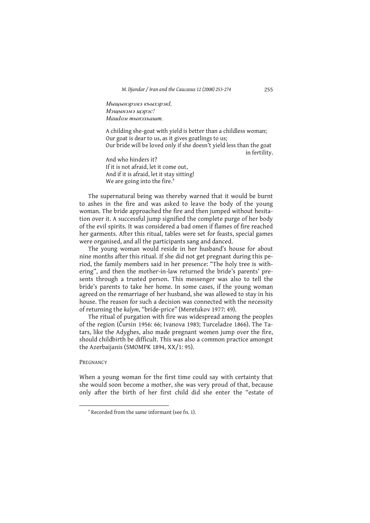Мыщынэрэмэ къыхэрэкІ, Мэшынэмэ шэрэс!  $Mau$  *Iom*  $m<sub>h</sub>$  *m*<sub>N</sub> $n<sub>2</sub>$  *m*<sub>n</sub>

A childing she-goat with yield is better than a childless woman; Our goat is dear to us, as it gives goatlings to us; Our bride will be loved only if she doesn't yield less than the goat in fertility.

And who hinders it? If it is not afraid, let it come out, And if it is afraid, let it stav sitting! We are going into the fire.<sup>4</sup>

The supernatural being was thereby warned that it would be burnt to ashes in the fire and was asked to leave the body of the young woman. The bride approached the fire and then jumped without hesitation over it. A successful jump signified the complete purge of her body of the evil spirits. It was considered a bad omen if flames of fire reached her garments. After this ritual, tables were set for feasts, special games were organised, and all the participants sang and danced.

The young woman would reside in her husband's house for about nine months after this ritual. If she did not get pregnant during this period, the family members said in her presence: "The holy tree is withering", and then the mother-in-law returned the bride's parents' presents through a trusted person. This messenger was also to tell the bride's parents to take her home. In some cases, if the young woman agreed on the remarriage of her husband, she was allowed to stay in his house. The reason for such a decision was connected with the necessity of returning the kalym, "bride-price" (Meretukov 1977: 49).

The ritual of purgation with fire was widespread among the peoples of the region (Čursin 1956: 66; Ivanova 1983; Turceladze 1866). The Tatars, like the Adyghes, also made pregnant women jump over the fire, should childbirth be difficult. This was also a common practice amongst the Azerbaijanis (SMOMPK 1894, XX/1: 95).

### PREGNANCY

When a young woman for the first time could say with certainty that she would soon become a mother, she was very proud of that, because only after the birth of her first child did she enter the "estate of

<sup>&</sup>lt;sup>4</sup> Recorded from the same informant (see fn. 1).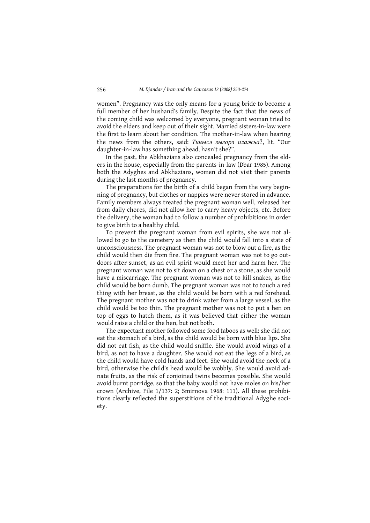women". Pregnancy was the only means for a young bride to become a full member of her husband's family. Despite the fact that the news of the coming child was welcomed by everyone, pregnant woman tried to avoid the elders and keep out of their sight. Married sisters-in-law were the first to learn about her condition. The mother-in-law when hearing the news from the others, said: *Тинысэ зыгорэ илажьа*?, lit. "Our daughter-in-law has something ahead, hasn't she?".

In the past, the Abkhazians also concealed pregnancy from the elders in the house, especially from the parents-in-law (Dbar 1985). Among both the Adyghes and Abkhazians, women did not visit their parents during the last months of pregnancy.

The preparations for the birth of a child began from the very beginning of pregnancy, but clothes or nappies were never stored in advance. Family members always treated the pregnant woman well, released her from daily chores, did not allow her to carry heavy objects, etc. Before the delivery, the woman had to follow a number of prohibitions in order to give birth to a healthy child.

To prevent the pregnant woman from evil spirits, she was not allowed to go to the cemetery as then the child would fall into a state of unconsciousness. The pregnant woman was not to blow out a fire, as the child would then die from fire. The pregnant woman was not to go outdoors after sunset, as an evil spirit would meet her and harm her. The pregnant woman was not to sit down on a chest or a stone, as she would have a miscarriage. The pregnant woman was not to kill snakes, as the child would be born dumb. The pregnant woman was not to touch a red thing with her breast, as the child would be born with a red forehead. The pregnant mother was not to drink water from a large vessel, as the child would be too thin. The pregnant mother was not to put a hen on top of eggs to hatch them, as it was believed that either the woman would raise a child or the hen, but not both.

The expectant mother followed some food taboos as well: she did not eat the stomach of a bird, as the child would be born with blue lips. She did not eat fish, as the child would sniffle. She would avoid wings of a bird, as not to have a daughter. She would not eat the legs of a bird, as the child would have cold hands and feet. She would avoid the neck of a bird, otherwise the child's head would be wobbly. She would avoid adnate fruits, as the risk of conjoined twins becomes possible. She would avoid burnt porridge, so that the baby would not have moles on his/her crown (Archive, File 1/137: 2; Smirnova 1968: 111). All these prohibitions clearly reflected the superstitions of the traditional Adyghe society.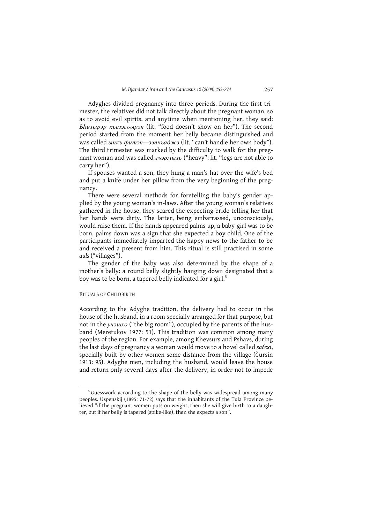Adyghes divided pregnancy into three periods. During the first trimester, the relatives did not talk directly about the pregnant woman, so as to avoid evil spirits, and anytime when mentioning her, they said: *Ышхырэр къезэгьырэп* (lit. "food doesn't show on her"). The second period started from the moment her belly became distinguished and was called  $b$ unkb  $b$ uman-ankbadara (lit. "can't handle her own body"). The third trimester was marked by the difficulty to walk for the pregnant woman and was called *льэрмыхь* ("heavy"; lit. "legs are not able to carry her").

If spouses wanted a son, they hung a man's hat over the wife's bed and put a knife under her pillow from the very beginning of the pregnancy.

There were several methods for foretelling the baby's gender applied by the young woman's in-laws. After the young woman's relatives gathered in the house, they scared the expecting bride telling her that her hands were dirty. The latter, being embarrassed, unconsciously, would raise them. If the hands appeared palms up, a baby-girl was to be born, palms down was a sign that she expected a boy child. One of the participants immediately imparted the happy news to the father-to-be and received a present from him. This ritual is still practised in some auls ("villages").

The gender of the baby was also determined by the shape of a mother's belly: a round belly slightly hanging down designated that a boy was to be born, a tapered belly indicated for a girl.<sup>5</sup>

**RITUALS OF CHILDBIRTH** 

According to the Adyghe tradition, the delivery had to occur in the house of the husband, in a room specially arranged for that purpose, but<br>not in the *ynauxo* ("the big room"), occupied by the parents of the husband (Meretukov 1977: 51). This tradition was common among many peoples of the region. For example, among Khevsurs and Pshavs, during the last days of pregnancy a woman would move to a hovel called sačexi, specially built by other women some distance from the village (Čursin 1913: 95). Adyghe men, including the husband, would leave the house and return only several days after the delivery, in order not to impede

<sup>&</sup>lt;sup>5</sup> Guesswork according to the shape of the belly was widespread among many peoples. Uspenskij (1895: 71-72) says that the inhabitants of the Tula Province believed "if the pregnant women puts on weight, then she will give birth to a daughter, but if her belly is tapered (spike-like), then she expects a son".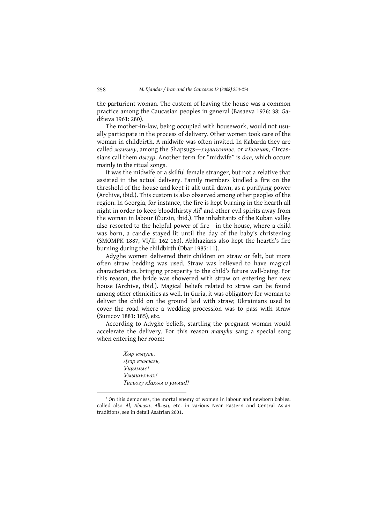the parturient woman. The custom of leaving the house was a common practice among the Caucasian peoples in general (Basaeva 1976: 38; Gadžieva 1961: 280).

The mother-in-law, being occupied with housework, would not usually participate in the process of delivery. Other women took care of the woman in childbirth. A midwife was often invited. In Kabarda they are called мамыку, among the Shapsugs-хъушъэнпэс, от кІэлашт, Circassians call them  $\partial$ *buzyp*. Another term for "midwife" is  $\partial$ *ae*, which occurs mainly in the ritual songs.

It was the midwife or a skilful female stranger, but not a relative that assisted in the actual delivery. Family members kindled a fire on the threshold of the house and kept it alit until dawn, as a purifying power (Archive, ibid.). This custom is also observed among other peoples of the region. In Georgia, for instance, the fire is kept burning in the hearth all night in order to keep bloodthirsty Ali<sup>6</sup> and other evil spirits away from the woman in labour (Čursin, ibid.). The inhabitants of the Kuban valley also resorted to the helpful power of fire—in the house, where a child was born, a candle stayed lit until the day of the baby's christening (SMOMPK 1887, VI/II: 162-163). Abkhazians also kept the hearth's fire burning during the childbirth (Dbar 1985: 11).

Adyghe women delivered their children on straw or felt, but more often straw bedding was used. Straw was believed to have magical characteristics, bringing prosperity to the child's future well-being. For this reason, the bride was showered with straw on entering her new house (Archive, ibid.). Magical beliefs related to straw can be found among other ethnicities as well. In Guria, it was obligatory for woman to deliver the child on the ground laid with straw; Ukrainians used to cover the road where a wedding procession was to pass with straw (Sumcov 1881: 185), etc.

According to Adyghe beliefs, startling the pregnant woman would accelerate the delivery. For this reason mamyku sang a special song when entering her room:

> Хыр къиугъ, Дзэр къэсыгь, Ушымыс! Умышьхьах! Тигьогу кІахьы о умыш!!

<sup>&</sup>lt;sup>6</sup> On this demoness, the mortal enemy of women in labour and newborn babies, called also Al, Almasti, Albasti, etc. in various Near Eastern and Central Asian traditions, see in detail Asatrian 2001.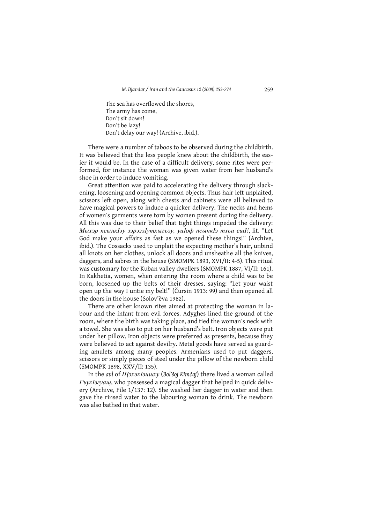The sea has overflowed the shores, The army has come, Don't sit down! Don't be lazy! Don't delay our way! (Archive, ibid.).

There were a number of taboos to be observed during the childbirth. It was believed that the less people knew about the childbirth, the easier it would be. In the case of a difficult delivery, some rites were performed, for instance the woman was given water from her husband's shoe in order to induce vomiting.

Great attention was paid to accelerating the delivery through slackening, loosening and opening common objects. Thus hair left unplaited, scissors left open, along with chests and cabinets were all believed to have magical powers to induce a quicker delivery. The necks and hems of women's garments were torn by women present during the delivery. All this was due to their belief that tight things impeded the delivery: Мыхэр псынкIэу зэрэзэIутхыгъэу, уиIоф псынкIэ тхьа ешI!, lit. "Let God make your affairs as fast as we opened these things!" (Archive, ibid.). The Cossacks used to unplait the expecting mother's hair, unbind all knots on her clothes, unlock all doors and unsheathe all the knives, daggers, and sabres in the house (SMOMPK 1893, XVI/II: 4-5). This ritual was customary for the Kuban valley dwellers (SMOMPK 1887, VI/II: 161). In Kakhetia, women, when entering the room where a child was to be born, loosened up the belts of their dresses, saying: "Let your waist open up the way I untie my belt!" (Čursin 1913: 99) and then opened all the doors in the house (Solov'eva 1982).

There are other known rites aimed at protecting the woman in labour and the infant from evil forces. Adyghes lined the ground of the room, where the birth was taking place, and tied the woman's neck with a towel. She was also to put on her husband's belt. Iron objects were put under her pillow. Iron objects were preferred as presents, because they were believed to act against devilry. Metal goods have served as guarding amulets among many peoples. Armenians used to put daggers, scissors or simply pieces of steel under the pillow of the newborn child (SMOMPK 1898, XXV/II: 135).

In the aul of *III sx + I auxy* (Bol'soj Kimčaj) there lived a woman called FoykI32yau, who possessed a magical dagger that helped in quick delivery (Archive, File 1/137: 12). She washed her dagger in water and then gave the rinsed water to the labouring woman to drink. The newborn was also bathed in that water.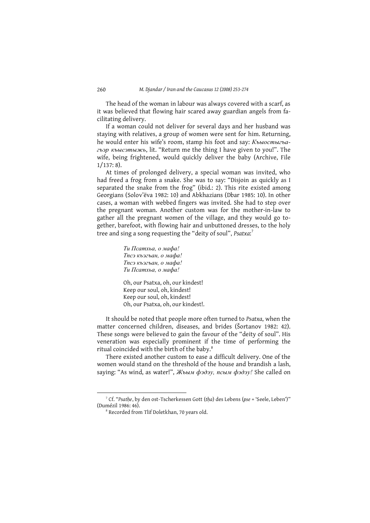The head of the woman in labour was always covered with a scarf, as it was believed that flowing hair scared away guardian angels from facilitating delivery.

If a woman could not deliver for several days and her husband was staying with relatives, a group of women were sent for him. Returning, he would enter his wife's room, stamp his foot and say: Къыостыгъагьэр къысэтыжь, lit. "Return me the thing I have given to you!". The wife, being frightened, would quickly deliver the baby (Archive, File  $1/137:8$ ).

At times of prolonged delivery, a special woman was invited, who had freed a frog from a snake. She was to say: "Disjoin as quickly as I separated the snake from the frog" (ibid.: 2). This rite existed among Georgians (Solov'ëva 1982: 10) and Abkhazians (Dbar 1985: 10). In other cases, a woman with webbed fingers was invited. She had to step over the pregnant woman. Another custom was for the mother-in-law to gather all the pregnant women of the village, and they would go together, barefoot, with flowing hair and unbuttoned dresses, to the holy tree and sing a song requesting the "deity of soul", Psatxa:7

> Ти Псатхьа, о мафа! Тпсэ къэгъан, о мафа! Тпсэ къэгъан, о мафа! Ти Псатхьа, о мафа!

Oh, our Psatxa, oh, our kindest! Keep our soul, oh, kindest! Keep our soul, oh, kindest! Oh, our Psatxa, oh, our kindest!.

It should be noted that people more often turned to Psatxa, when the matter concerned children, diseases, and brides (Šortanov 1982: 42). These songs were believed to gain the favour of the "deity of soul". His veneration was especially prominent if the time of performing the ritual coincided with the birth of the baby.<sup>8</sup>

There existed another custom to ease a difficult delivery. One of the women would stand on the threshold of the house and brandish a lash. saying: "As wind, as water!", Жьым фэдэу, псым фэдэу! She called on

<sup>7</sup> Cf. "Psathe, by den ost-Tscherkessen Gott (tha) des Lebens (pse = 'Seele, Leben')" (Dumézil 1986: 46).

<sup>&</sup>lt;sup>8</sup> Recorded from Tlif Doletkhan, 70 years old.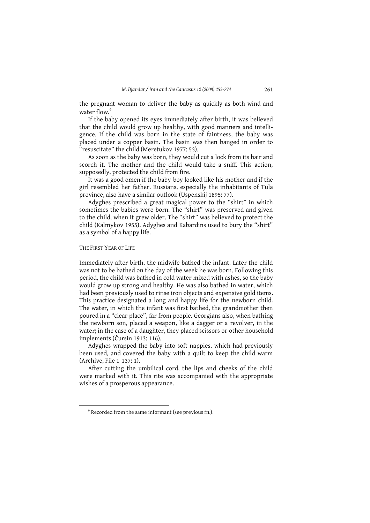the pregnant woman to deliver the baby as quickly as both wind and water flow<sup>9</sup>

If the baby opened its eyes immediately after birth, it was believed that the child would grow up healthy, with good manners and intelligence. If the child was born in the state of faintness, the baby was placed under a copper basin. The basin was then banged in order to "resuscitate" the child (Meretukov 1977: 53).

As soon as the baby was born, they would cut a lock from its hair and scorch it. The mother and the child would take a sniff. This action, supposedly, protected the child from fire.

It was a good omen if the baby-boy looked like his mother and if the girl resembled her father. Russians, especially the inhabitants of Tula province, also have a similar outlook (Uspenskij 1895: 77).

Adyghes prescribed a great magical power to the "shirt" in which sometimes the babies were born. The "shirt" was preserved and given to the child, when it grew older. The "shirt" was believed to protect the child (Kalmykov 1955). Adyghes and Kabardins used to bury the "shirt" as a symbol of a happy life.

## THE FIRST YEAR OF LIFE

Immediately after birth, the midwife bathed the infant. Later the child was not to be bathed on the day of the week he was born. Following this period, the child was bathed in cold water mixed with ashes, so the baby would grow up strong and healthy. He was also bathed in water, which had been previously used to rinse iron objects and expensive gold items. This practice designated a long and happy life for the newborn child. The water, in which the infant was first bathed, the grandmother then poured in a "clear place", far from people. Georgians also, when bathing the newborn son, placed a weapon, like a dagger or a revolver, in the water; in the case of a daughter, they placed scissors or other household implements (Čursin 1913: 116).

Adyghes wrapped the baby into soft nappies, which had previously been used, and covered the baby with a quilt to keep the child warm (Archive, File 1-137: 1).

After cutting the umbilical cord, the lips and cheeks of the child were marked with it. This rite was accompanied with the appropriate wishes of a prosperous appearance.

<sup>&</sup>lt;sup>9</sup> Recorded from the same informant (see previous fn.).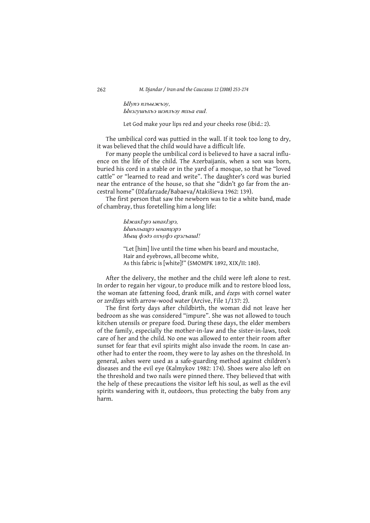ЫІупэ пльыжьэу, Ынэгушьхьэ шэпльэу тхьа ешІ.

Let God make your lips red and your cheeks rose (ibid.: 2).

The umbilical cord was puttied in the wall. If it took too long to dry, it was believed that the child would have a difficult life.

For many people the umbilical cord is believed to have a sacral influence on the life of the child. The Azerbaijanis, when a son was born, buried his cord in a stable or in the yard of a mosque, so that he "loved cattle" or "learned to read and write". The daughter's cord was buried near the entrance of the house, so that she "didn't go far from the ancestral home" (Džafarzade/Babaeva/Atakišieva 1962: 139).

The first person that saw the newborn was to tie a white band, made of chambray, thus foretelling him a long life:

> ЫжакІэрэ ыпакІэрэ, Ышьхьацрэ ынапцэрэ Мыщ фэдэ охъуфэ ерэгьаш!!

"Let [him] live until the time when his beard and moustache, Hair and eyebrows, all become white, As this fabric is [white]!" (SMOMPK 1892, XIX/II: 180).

After the delivery, the mother and the child were left alone to rest. In order to regain her vigour, to produce milk and to restore blood loss, the woman ate fattening food, drank milk, and ézeps with cornel water or zerdžeps with arrow-wood water (Arcive, File 1/137: 2).

The first forty days after childbirth, the woman did not leave her bedroom as she was considered "impure". She was not allowed to touch kitchen utensils or prepare food. During these days, the elder members of the family, especially the mother-in-law and the sister-in-laws, took care of her and the child. No one was allowed to enter their room after sunset for fear that evil spirits might also invade the room. In case another had to enter the room, they were to lay ashes on the threshold. In general, ashes were used as a safe-guarding method against children's diseases and the evil eye (Kalmykov 1982: 174). Shoes were also left on the threshold and two nails were pinned there. They believed that with the help of these precautions the visitor left his soul, as well as the evil spirits wandering with it, outdoors, thus protecting the baby from any harm.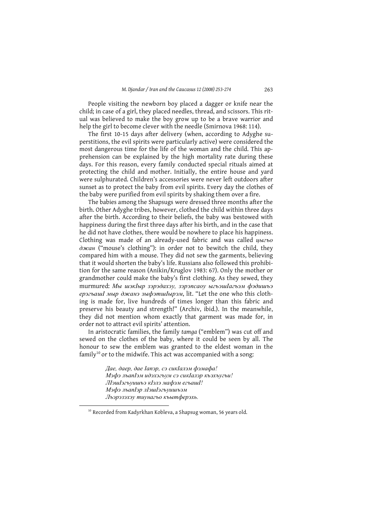People visiting the newborn boy placed a dagger or knife near the child; in case of a girl, they placed needles, thread, and scissors. This ritual was believed to make the boy grow up to be a brave warrior and help the girl to become clever with the needle (Smirnova 1968: 114).

The first 10-15 days after delivery (when, according to Adyghe superstitions, the evil spirits were particularly active) were considered the most dangerous time for the life of the woman and the child. This apprehension can be explained by the high mortality rate during these days. For this reason, every family conducted special rituals aimed at protecting the child and mother. Initially, the entire house and yard were sulphurated. Children's accessories were never left outdoors after sunset as to protect the baby from evil spirits. Every day the clothes of the baby were purified from evil spirits by shaking them over a fire.

The babies among the Shapsugs were dressed three months after the birth. Other Adyghe tribes, however, clothed the child within three days after the birth. According to their beliefs, the baby was bestowed with happiness during the first three days after his birth, and in the case that he did not have clothes, there would be nowhere to place his happiness. Clothing was made of an already-used fabric and was called ublzbo  $\partial$ *xcan* ("mouse's clothing"): in order not to bewitch the child, they compared him with a mouse. They did not sew the garments, believing that it would shorten the baby's life. Russians also followed this prohibition for the same reason (Anikin/Kruglov 1983: 67). Only the mother or grandmother could make the baby's first clothing. As they sewed, they тигтигед: Мы шэкIыр зэрэдахэу, зэрэпсаоу ыгъэшIагъэм фэдишъэ ерэгьашІ мыр джанэ зыфэтшІырэм, lit. "Let the one who this clothing is made for, live hundreds of times longer than this fabric and preserve his beauty and strength!" (Archiv, ibid.). In the meanwhile, they did not mention whom exactly that garment was made for, in order not to attract evil spirits' attention.

In aristocratic families, the family tamga ("emblem") was cut off and sewed on the clothes of the baby, where it could be seen by all. The honour to sew the emblem was granted to the eldest woman in the family<sup>10</sup> or to the midwife. This act was accompanied with a song:

> Дае, даер, дае Іапэр, сэ сикІалэм фэмафа! Мэфэ льапІэм идэхэгьум сэ сикІалэр кьэхьугы! ЛІэшІэгъуишъэ кІэлэ мафэм егъашІ! Мэфэ льапІэр лІэшІэгьуишьэм Льэрэзэхэу тиунагьо къытферэхь.

<sup>&</sup>lt;sup>10</sup> Recorded from Kadyrkhan Kobleva, a Shapsug woman, 56 years old.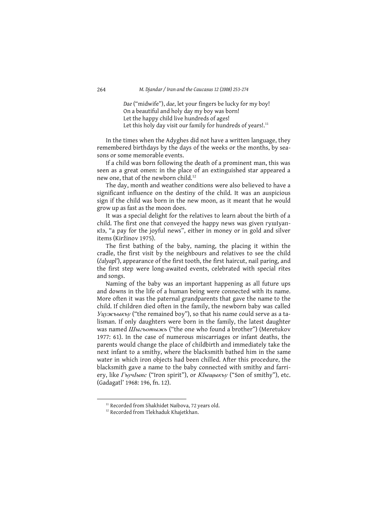Dae ("midwife"), dae, let your fingers be lucky for my boy! On a beautiful and holy day my boy was born! Let the happy child live hundreds of ages! Let this holy day visit our family for hundreds of years!.<sup>11</sup>

In the times when the Adyghes did not have a written language, they remembered birthdays by the days of the weeks or the months, by seasons or some memorable events.

If a child was born following the death of a prominent man, this was seen as a great omen: in the place of an extinguished star appeared a new one, that of the newborn child.<sup>12</sup>

The day, month and weather conditions were also believed to have a significant influence on the destiny of the child. It was an auspicious sign if the child was born in the new moon, as it meant that he would grow up as fast as the moon does.

It was a special delight for the relatives to learn about the birth of a child. The first one that conveyed the happy news was given rymlyan-KI9, "a pay for the joyful news", either in money or in gold and silver items (Kiržinov 1975).

The first bathing of the baby, naming, the placing it within the cradle, the first visit by the neighbours and relatives to see the child (čalyapl'), appearance of the first tooth, the first haircut, nail paring, and the first step were long-awaited events, celebrated with special rites and songs.

Naming of the baby was an important happening as all future ups and downs in the life of a human being were connected with its name. More often it was the paternal grandparents that gave the name to the child. If children died often in the family, the newborn baby was called Уцужъыкъу ("the remained boy"), so that his name could serve as a talisman. If only daughters were born in the family, the latest daughter was named *Шыгьотыжь* ("the one who found a brother") (Meretukov 1977: 61). In the case of numerous miscarriages or infant deaths, the parents would change the place of childbirth and immediately take the next infant to a smithy, where the blacksmith bathed him in the same water in which iron objects had been chilled. After this procedure, the blacksmith gave a name to the baby connected with smithy and farriery, like ГъучIыпс ("Iron spirit"), or КІыщыкъу ("Son of smithy"), etc. (Gadagatl' 1968: 196, fn. 12).

<sup>&</sup>lt;sup>11</sup> Recorded from Shakhidet Naibova, 72 years old.

<sup>&</sup>lt;sup>12</sup> Recorded from Tlekhaduk Khajetkhan.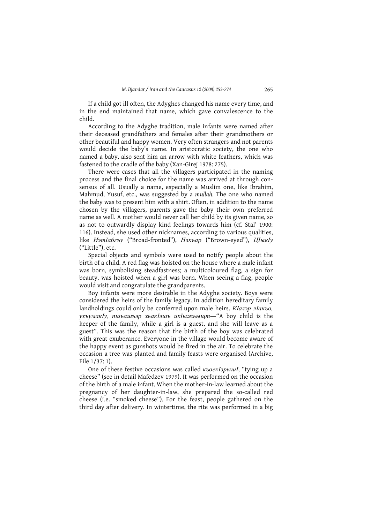If a child got ill often, the Adyghes changed his name every time, and in the end maintained that name, which gave convalescence to the child.

According to the Adyghe tradition, male infants were named after their deceased grandfathers and females after their grandmothers or other beautiful and happy women. Very often strangers and not parents would decide the baby's name. In aristocratic society, the one who named a baby, also sent him an arrow with white feathers, which was fastened to the cradle of the baby (Xan-Girej 1978: 275).

There were cases that all the villagers participated in the naming process and the final choice for the name was arrived at through consensus of all. Usually a name, especially a Muslim one, like Ibrahim, Mahmud, Yusuf, etc., was suggested by a mullah. The one who named the baby was to present him with a shirt. Often, in addition to the name chosen by the villagers, parents gave the baby their own preferred name as well. A mother would never call her child by its given name, so as not to outwardly display kind feelings towards him (cf. Stal' 1900: 116). Instead, she used other nicknames, according to various qualities, like *H*<sub>2</sub>mIa6zby ("Broad-fronted"), *H*<sub>2Kbap</sub> ("Brown-eved"), *IIIbIKIv* ("Little"), etc.

Special objects and symbols were used to notify people about the birth of a child. A red flag was hoisted on the house where a male infant was born, symbolising steadfastness; a multicoloured flag, a sign for beauty, was hoisted when a girl was born. When seeing a flag, people would visit and congratulate the grandparents.

Boy infants were more desirable in the Adyghe society. Boys were considered the heirs of the family legacy. In addition hereditary family landholdings could only be conferred upon male heirs. KIanap nIakbo, ухъумакly, пшъашъэр хьакІэшъ икІыжьыщт-"А boy child is the keeper of the family, while a girl is a guest, and she will leave as a guest". This was the reason that the birth of the boy was celebrated with great exuberance. Everyone in the village would become aware of the happy event as gunshots would be fired in the air. To celebrate the occasion a tree was planted and family feasts were organised (Archive, File 1/37: 1).

One of these festive occasions was called **KboeKI3pbiul**, "tying up a cheese" (see in detail Mafedzev 1979). It was performed on the occasion of the birth of a male infant. When the mother-in-law learned about the pregnancy of her daughter-in-law, she prepared the so-called red cheese (i.e. "smoked cheese"). For the feast, people gathered on the third day after delivery. In wintertime, the rite was performed in a big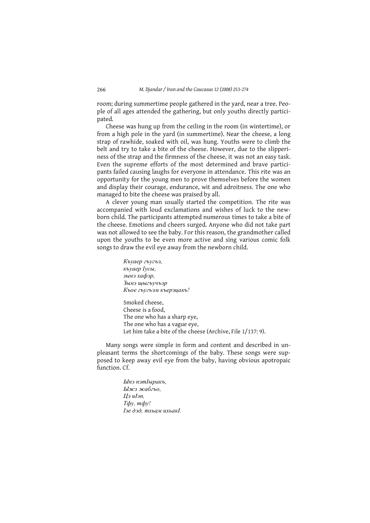room; during summertime people gathered in the yard, near a tree. People of all ages attended the gathering, but only youths directly participated.

Cheese was hung up from the ceiling in the room (in wintertime), or from a high pole in the yard (in summertime). Near the cheese, a long strap of rawhide, soaked with oil, was hung. Youths were to climb the belt and try to take a bite of the cheese. However, due to the slipperiness of the strap and the firmness of the cheese, it was not an easy task. Even the supreme efforts of the most determined and brave participants failed causing laughs for everyone in attendance. This rite was an opportunity for the young men to prove themselves before the women and display their courage, endurance, wit and adroitness. The one who managed to bite the cheese was praised by all.

A clever young man usually started the competition. The rite was accompanied with loud exclamations and wishes of luck to the newborn child. The participants attempted numerous times to take a bite of the cheese. Emotions and cheers surged. Anyone who did not take part was not allowed to see the baby. For this reason, the grandmother called upon the youths to be even more active and sing various comic folk songs to draw the evil eye away from the newborn child.

> Къуаер гъугъэ, къуаер Іусы, зынэ хафэр, Зынэ щыгъучъэр Кьое гъугъэм къерэиакъ!

Smoked cheese, Cheese is a food. The one who has a sharp eye, The one who has a vague eye, Let him take a bite of the cheese (Archive, File 1/137: 9).

Many songs were simple in form and content and described in unpleasant terms the shortcomings of the baby. These songs were supposed to keep away evil eye from the baby, having obvious apotropaic function Cf

> Ыпэ пэтІыракъ, Ыжэ жабгьо. Цэ иІэп,  $T\phi y$ ,  $m\phi y$ ! Іэе дэд, тхьам ихьакІ.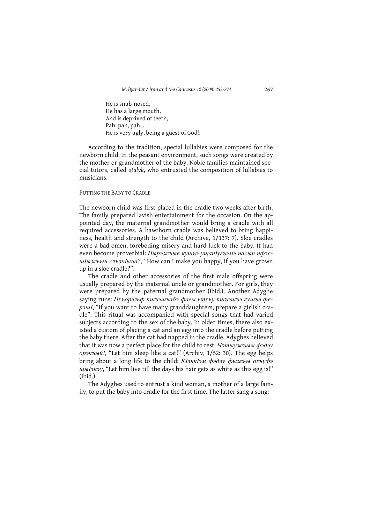He is snub-nosed. He has a large mouth, And is deprived of teeth. Pah, pah, pah... He is very ugly, being a guest of God!.

According to the tradition, special lullabies were composed for the newborn child. In the peasant environment, such songs were created by the mother or grandmother of the baby. Noble families maintained special tutors, called atalyk, who entrusted the composition of lullabies to musicians.

PUTTING THE BABY TO CRADLE

The newborn child was first placed in the cradle two weeks after birth. The family prepared lavish entertainment for the occasion. On the appointed day, the maternal grandmother would bring a cradle with all required accessories. A hawthorn cradle was believed to bring happiness, health and strength to the child (Archive, 1/137: 7). Sloe cradles were a bad omen, foreboding misery and hard luck to the baby. It had even become proverbial: Пырэжьые кушьэ ущапІугьэмэ насып пфэсшІыжьын слъэкІына?, "How can I make you happy, if you have grown up in a sloe cradle?".

The cradle and other accessories of the first male offspring were usually prepared by the maternal uncle or grandmother. For girls, they were prepared by the paternal grandmother (ibid.). Another Adyghe saying runs: Пхъорэльф пшъэшъабэ фаем ыпхъу пшъэшъэ кушъэ феpoul, "If you want to have many granddaughters, prepare a girlish cradle". This ritual was accompanied with special songs that had varied subjects according to the sex of the baby. In older times, there also existed a custom of placing a cat and an egg into the cradle before putting the baby there. After the cat had napped in the cradle, Adyghes believed that it was now a perfect place for the child to rest: Чэтыужьым фэдэу орэчьый!, "Let him sleep like a cat!" (Archiv, 1/52: 30). The egg helps bring about a long life to the child: КІэнкІэм фэдэу фыжьы охъуфэ щы / энэу, "Let him live till the days his hair gets as white as this egg is!"  $(ibid.)$ .

The Adyghes used to entrust a kind woman, a mother of a large family, to put the baby into cradle for the first time. The latter sang a song: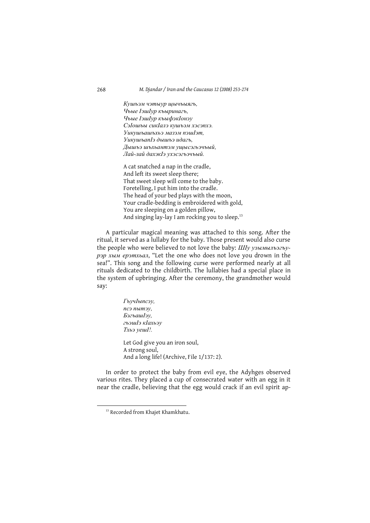Кушьэм чэтыур щычьыягь, Чьые ІэшІур къыринагь, Чьые ІэшІур къыфэкІонэу СэІошъы сикІалэ кушъэм хэсэпхэ. Уикушьашьхьэ мазэм пэшІэт, УикушьапІэ дышьэ идагь. Дышьэ шьхьантэм үшысэгьэчьый, Лай-лай дахэкІэ үхэсэгьэчьый.

A cat snatched a nap in the cradle, And left its sweet sleep there; That sweet sleep will come to the baby. Foretelling, I put him into the cradle. The head of your bed plays with the moon, Your cradle-bedding is embroidered with gold, You are sleeping on a golden pillow, And singing lay-lay I am rocking you to sleep.<sup>13</sup>

A particular magical meaning was attached to this song. After the ritual, it served as a lullaby for the baby. Those present would also curse the people who were believed to not love the baby: ШІу узымыльэгьурэр хым ерэтхьал, "Let the one who does not love you drown in the sea!". This song and the following curse were performed nearly at all rituals dedicated to the childbirth. The lullabies had a special place in the system of upbringing. After the ceremony, the grandmother would say:

> ГъучІыпсэу, псэ пытэу, БэгъашІэу, гьэшІэ кІахьэу Тхьэ уеш!!. Let God give you an iron soul, A strong soul, And a long life! (Archive, File 1/137: 2).

In order to protect the baby from evil eye, the Adyhges observed various rites. They placed a cup of consecrated water with an egg in it near the cradle, believing that the egg would crack if an evil spirit ap-

<sup>&</sup>lt;sup>13</sup> Recorded from Khajet Khamkhatu.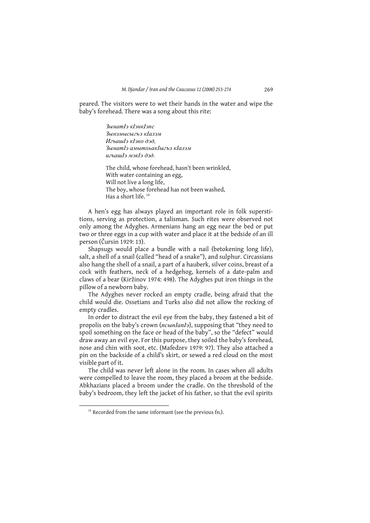peared. The visitors were to wet their hands in the water and wipe the baby's forehead. There was a song about this rite:

> $B$ <sub>bl</sub>Hamla Klahklanc Зынэмысыгьэ кІалэм ИгьашІэ кІэко дэд.  $B$  $\alpha$ е $\beta$  е $\alpha$ ием е $\alpha$ ирази

The child, whose forehead, hasn't been wrinkled. With water containing an egg, Will not live a long life, The boy, whose forehead has not been washed. Has a short life.<sup>14</sup>

A hen's egg has always played an important role in folk superstitions, serving as protection, a talisman. Such rites were observed not only among the Adyghes. Armenians hang an egg near the bed or put two or three eggs in a cup with water and place it at the bedside of an ill person (Čursin 1929: 13).

Shapsugs would place a bundle with a nail (betokening long life), salt, a shell of a snail (called "head of a snake"), and sulphur. Circassians also hang the shell of a snail, a part of a hauberk, silver coins, breast of a cock with feathers, neck of a hedgehog, kernels of a date-palm and claws of a bear (Kiržinov 1974: 498). The Adyghes put iron things in the pillow of a newborn baby.

The Advghes never rocked an empty cradle, being afraid that the child would die. Ossetians and Turks also did not allow the rocking of empty cradles.

In order to distract the evil eye from the baby, they fastened a bit of propolis on the baby's crown (ncunlanl), supposing that "they need to spoil something on the face or head of the baby", so the "defect" would draw away an evil eye. For this purpose, they soiled the baby's forehead, nose and chin with soot, etc. (Mafedzev 1979: 97). They also attached a pin on the backside of a child's skirt, or sewed a red cloud on the most visible part of it.

The child was never left alone in the room. In cases when all adults were compelled to leave the room, they placed a broom at the bedside. Abkhazians placed a broom under the cradle. On the threshold of the baby's bedroom, they left the jacket of his father, so that the evil spirits

<sup>&</sup>lt;sup>14</sup> Recorded from the same informant (see the previous fn.).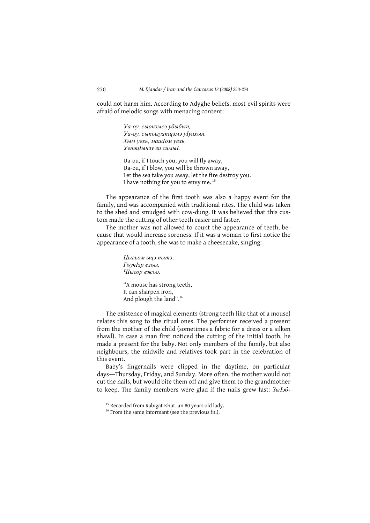could not harm him. According to Adyghe beliefs, most evil spirits were afraid of melodic songs with menacing content:

> Уа-оу, сыонэмсэ убыбын, Уа-оу, сыкъыуапщэмэ уІуихын, Хым уехь, машІом уехь. УенэиІынэу зи симыІ.

Ua-ou, if I touch you, you will fly away, Ua-ou, if I blow, you will be thrown away, Let the sea take you away, let the fire destroy you. I have nothing for you to envy me.<sup>15</sup>

The appearance of the first tooth was also a happy event for the family, and was accompanied with traditional rites. The child was taken to the shed and smudged with cow-dung. It was believed that this custom made the cutting of other teeth easier and faster.

The mother was not allowed to count the appearance of teeth, because that would increase soreness. If it was a woman to first notice the appearance of a tooth, she was to make a cheesecake, singing:

> Цыгьом ыцэ пытэ, ГъучІэр ельы, ЧІыгор ежьо.

"A mouse has strong teeth, It can sharpen iron, And plough the land".<sup>16</sup>

The existence of magical elements (strong teeth like that of a mouse) relates this song to the ritual ones. The performer received a present from the mother of the child (sometimes a fabric for a dress or a silken shawl). In case a man first noticed the cutting of the initial tooth, he made a present for the baby. Not only members of the family, but also neighbours, the midwife and relatives took part in the celebration of this event.

Baby's fingernails were clipped in the daytime, on particular days-Thursday, Friday, and Sunday. More often, the mother would not cut the nails, but would bite them off and give them to the grandmother to keep. The family members were glad if the nails grew fast: 3bl36-

<sup>&</sup>lt;sup>15</sup> Recorded from Rabigat Khut, an 80 years old lady.

<sup>&</sup>lt;sup>16</sup> From the same informant (see the previous fn.).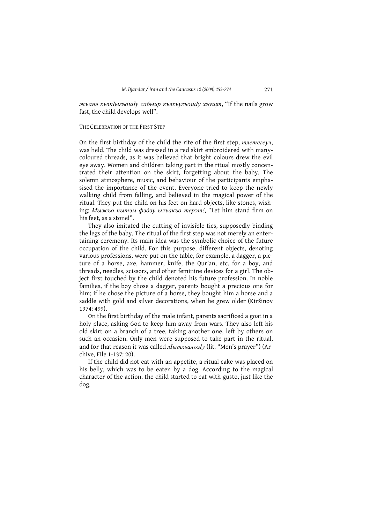жьанэ къэкІыгьошІу сабыир къэхъугьошІу хъущт, "If the nails grow fast, the child develops well".

#### THE CELEBRATION OF THE FIRST STEP

On the first birthday of the child the rite of the first step, mnemezeyy, was held. The child was dressed in a red skirt embroidered with manycoloured threads, as it was believed that bright colours drew the evil eye away. Women and children taking part in the ritual mostly concentrated their attention on the skirt, forgetting about the baby. The solemn atmosphere, music, and behaviour of the participants emphasised the importance of the event. Everyone tried to keep the newly walking child from falling, and believed in the magical power of the ritual. They put the child on his feet on hard objects, like stones, wishing: Мыжьо пытэм фэдэу ыльакьо терэт!, "Let him stand firm on his feet, as a stone!".

They also imitated the cutting of invisible ties, supposedly binding the legs of the baby. The ritual of the first step was not merely an entertaining ceremony. Its main idea was the symbolic choice of the future occupation of the child. For this purpose, different objects, denoting various professions, were put on the table, for example, a dagger, a picture of a horse, axe, hammer, knife, the Qur'an, etc. for a boy, and threads, needles, scissors, and other feminine devices for a girl. The object first touched by the child denoted his future profession. In noble families, if the boy chose a dagger, parents bought a precious one for him; if he chose the picture of a horse, they bought him a horse and a saddle with gold and silver decorations, when he grew older (Kiržinov 1974: 499).

On the first birthday of the male infant, parents sacrificed a goat in a holy place, asking God to keep him away from wars. They also left his old skirt on a branch of a tree, taking another one, left by others on such an occasion. Only men were supposed to take part in the ritual, and for that reason it was called  $\overline{I}$   $\overline{I}$   $\overline{I}$   $\overline{I}$   $\overline{I}$   $\overline{I}$   $\overline{I}$   $\overline{I}$   $\overline{I}$   $\overline{I}$   $\overline{I}$   $\overline{I}$   $\overline{I}$   $\overline{I}$   $\overline{I}$   $\overline{I}$   $\overline{I}$   $\overline{I}$   $\overline{I}$   $\overline{I}$   $\overline{I}$ chive, File 1-137: 20).

If the child did not eat with an appetite, a ritual cake was placed on his belly, which was to be eaten by a dog. According to the magical character of the action, the child started to eat with gusto, just like the dog.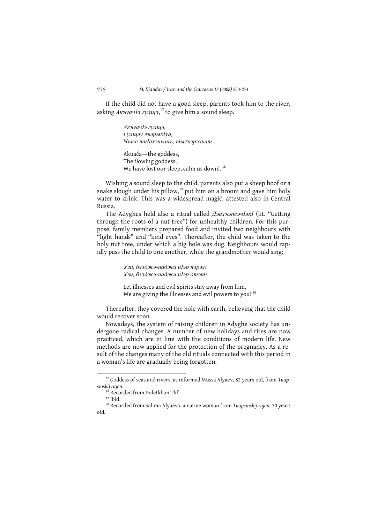If the child did not have a good sleep, parents took him to the river, asking  $A\kappa \nu a \nu I$ <sup>2</sup> *zyau* $\mu$ <sup>17</sup>, to give him a sound sleep.

> АкъуачІэ гуащэ, Гуащэу льэрыкІуа, Чьые тиІахэпышь, тыгьэрэхьат.

Akuača-the goddess, The flowing goddess, We have lost our sleep, calm us down!.<sup>18</sup>

Wishing a sound sleep to the child, parents also put a sheep hoof or a snake slough under his pillow,<sup>19</sup> put him on a broom and gave him holy water to drink. This was a widespread magic, attested also in Central Russia.

The Adyghes held also a ritual called *ДэельэпсэчІэкІ* (lit. "Getting through the roots of a nut tree") for unhealthy children. For this purpose, family members prepared food and invited two neighbours with "light hands" and "kind eyes". Thereafter, the child was taken to the holy nut tree, under which a big hole was dug. Neighbours would rapidly pass the child to one another, while the grandmother would sing:

> Узи, бзэджэ-наджи иІэр пэрэз! Узи, бзэджэ-наджи иІэр отэт!

Let illnesses and evil spirits stay away from him, We are giving the illnesses and evil powers to you!<sup>20</sup>

Thereafter, they covered the hole with earth, believing that the child would recover soon.

Nowadays, the system of raising children in Adyghe society has undergone radical changes. A number of new holidays and rites are now practiced, which are in line with the conditions of modern life. New methods are now applied for the protection of the pregnancy. As a result of the changes many of the old rituals connected with this period in a woman's life are gradually being forgotten.

272

<sup>&</sup>lt;sup>17</sup> Goddess of seas and rivers, as informed Mussa Alyaev, 82 years old, from Tuapsinskij rajon.

<sup>&</sup>lt;sup>18</sup> Recorded from Doletkhan Tlif.

 $19$  Ibid.

<sup>&</sup>lt;sup>20</sup> Recorded from Salima Alyaeva, a native woman from Tuapsinskij rajon, 70 years  $h$ lo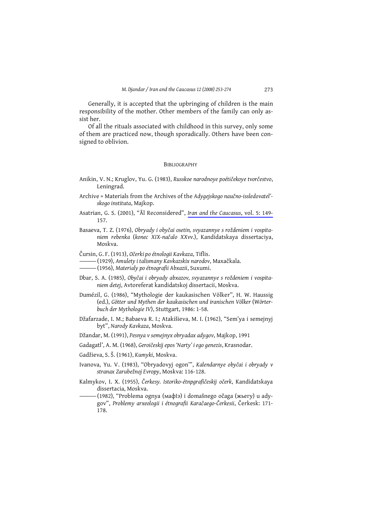Generally, it is accepted that the upbringing of children is the main responsibility of the mother. Other members of the family can only assist her.

Of all the rituals associated with childhood in this survey, only some of them are practiced now, though sporadically. Others have been consigned to oblivion.

#### **BIBLIOGRAPHY**

- Anikin, V. N.; Kruglov, Yu. G. (1983), Russkoe narodnoye poétičekoye tvorčestvo, Leningrad.
- Archive = Materials from the Archives of the Adygejskogo naučno-issledovatel'skogo instituta, Majkop.
- Asatrian, G. S. (2001), "Al Reconsidered", Iran and the Caucasus, vol. 5: 149-157.
- Basaeva, T. Z. (1976), Obryady i obyčai osetin, svyazannye s roždeniem i vospitaniem rebenka (konec XIX-načalo XXvv.), Kandidatskaya dissertaciya, Moskva.
- Čursin, G. F. (1913), Očerki po étnologii Kavkaza, Tiflis.
- —– (1929), Amulety i talismany Kavkazskix narodov, Maxačkala.
- —— (1956), Materialy po étnografii Abxazii, Suxumi.
- Dbar, S. A. (1985), Obyčai i obryady abxazov, svyazannye s roždeniem i vospitaniem detej, Avtoreferat kandidatskoj dissertacii, Moskva.
- Dumézil, G. (1986), "Mythologie der kaukasischen Völker", H. W. Haussig (ed.), Götter und Mythen der kaukasischen und iranischen Völker (Wörterbuch der Mythologie IV), Stuttgart, 1986: 1-58.
- Džafarzade, I. M.; Babaeva R. I.; Atakišieva, M. I. (1962), "Sem'ya i semejnyj byt", Narody Kavkaza, Moskva.
- Džandar, M. (1991), Pesnya v semejnyx obryadax adygov, Majkop, 1991
- Gadagatl', A. M. (1968), Geroičeskij epos 'Narty' i ego genezis, Krasnodar.
- Gadžieva, S. Š. (1961), Kumyki, Moskva.
- Ivanova, Yu. V. (1983), "Obryadovyj ogon"', Kalendarnye obyčai i obryady v stranax Zarubežnoj Evropy, Moskva: 116-128.
- Kalmykov, I. X. (1955), Čerkesy. Istoriko-étnpgrafičeskij očerk, Kandidatskaya dissertacia, Moskva.
- -(1982), "Problema ognya (мафIэ) i domašnego očaga (жьегу) u adygov", Problemy arxeologii i étnografii Karačaego-Čerkesii, Čerkesk: 171-178.